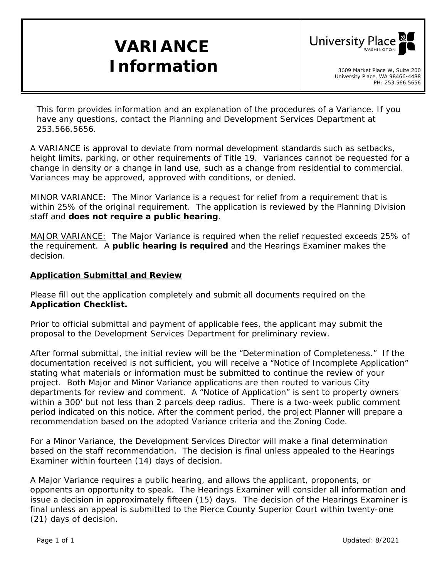# **VARIANCE**  *Information* and *Information*



*This form provides information and an explanation of the procedures of a Variance. If you have any questions, contact the Planning and Development Services Department at 253.566.5656.* 

A VARIANCE is approval to deviate from normal development standards such as setbacks, height limits, parking, or other requirements of Title 19. Variances cannot be requested for a change in density or a change in land use, such as a change from residential to commercial. Variances may be approved, approved with conditions, or denied.

*MINOR VARIANCE:* The Minor Variance is a request for relief from a requirement that is within 25% of the original requirement. The application is reviewed by the Planning Division staff and **does not require a public hearing**.

*MAJOR VARIANCE:* The Major Variance is required when the relief requested exceeds 25% of the requirement. A **public hearing is required** and the Hearings Examiner makes the decision.

### **Application Submittal and Review**

Please fill out the application completely and submit all documents required on the *Application Checklist.* 

Prior to official submittal and payment of applicable fees, the applicant may submit the proposal to the Development Services Department for preliminary review.

After formal submittal, the initial review will be the *"Determination of Completeness."* If the documentation received is not sufficient, you will receive a *"Notice of Incomplete Application"* stating what materials or information must be submitted to continue the review of your project. Both Major and Minor Variance applications are then routed to various City departments for review and comment. A *"Notice of Application"* is sent to property owners within a 300' but not less than 2 parcels deep radius. There is a two-week public comment period indicated on this notice. After the comment period, the project Planner will prepare a recommendation based on the adopted Variance criteria and the Zoning Code.

For a Minor Variance, the Development Services Director will make a final determination based on the staff recommendation. The decision is final unless appealed to the Hearings Examiner within fourteen (14) days of decision.

A Major Variance requires a public hearing, and allows the applicant, proponents, or opponents an opportunity to speak. The Hearings Examiner will consider all information and issue a decision in approximately fifteen (15) days. The decision of the Hearings Examiner is final unless an appeal is submitted to the Pierce County Superior Court within twenty-one (21) days of decision.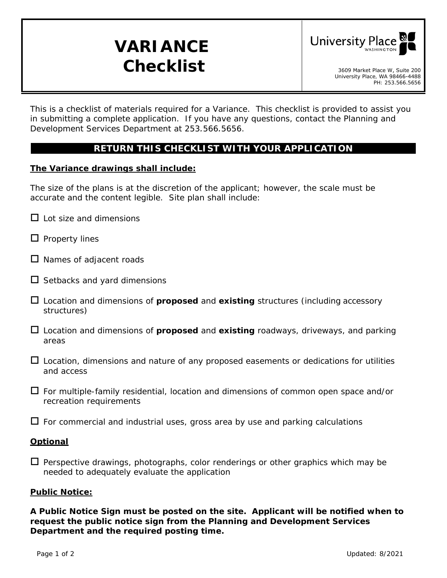# **VARIANCE**  *Checklist* 3609 Market Place W, Suite 200



*This is a checklist of materials required for a Variance. This checklist is provided to assist you in submitting a complete application. If you have any questions, contact the Planning and Development Services Department at 253.566.5656.* 

## **RETURN THIS CHECKLIST WITH YOUR APPLICATION**

#### **The Variance drawings shall include:**

The size of the plans is at the discretion of the applicant; however, the scale must be accurate and the content legible. Site plan shall include:

- $\Box$  Lot size and dimensions
- $\Box$  Property lines
- $\square$  Names of adjacent roads
- $\square$  Setbacks and yard dimensions
- Location and dimensions of **proposed** and **existing** structures (including accessory structures)
- Location and dimensions of **proposed** and **existing** roadways, driveways, and parking areas
- $\Box$  Location, dimensions and nature of any proposed easements or dedications for utilities and access
- $\Box$  For multiple-family residential, location and dimensions of common open space and/or recreation requirements
- $\Box$  For commercial and industrial uses, gross area by use and parking calculations

#### **Optional**

 $\Box$  Perspective drawings, photographs, color renderings or other graphics which may be needed to adequately evaluate the application

#### **Public Notice:**

**A Public Notice Sign must be posted on the site. Applicant will be notified when to request the public notice sign from the Planning and Development Services Department and the required posting time.**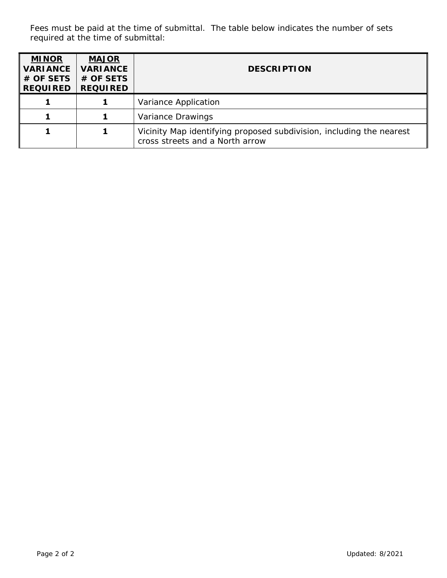Fees must be paid at the time of submittal. The table below indicates the number of sets required at the time of submittal:

| <b>MINOR</b><br><b>VARIANCE</b><br># OF SETS<br><b>REQUIRED</b> | <b>MAJOR</b><br><b>VARIANCE</b><br># OF SETS<br><b>REQUIRED</b> | <b>DESCRIPTION</b>                                                                                      |  |  |
|-----------------------------------------------------------------|-----------------------------------------------------------------|---------------------------------------------------------------------------------------------------------|--|--|
|                                                                 |                                                                 | Variance Application                                                                                    |  |  |
|                                                                 |                                                                 | Variance Drawings                                                                                       |  |  |
|                                                                 |                                                                 | Vicinity Map identifying proposed subdivision, including the nearest<br>cross streets and a North arrow |  |  |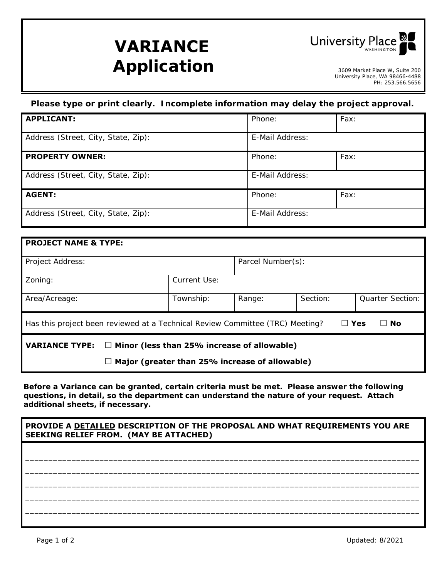# **VARIANCE**  Application **Application**



University Place, WA 98466-4488 PH: 253.566.5656

### *Please type or print clearly. Incomplete information may delay the project approval.*

| <b>APPLICANT:</b>                   | Phone:          | Fax: |  |
|-------------------------------------|-----------------|------|--|
| Address (Street, City, State, Zip): | E-Mail Address: |      |  |
| <b>PROPERTY OWNER:</b>              | Phone:          | Fax: |  |
| Address (Street, City, State, Zip): | E-Mail Address: |      |  |
| <b>AGENT:</b>                       | Phone:          | Fax: |  |
| Address (Street, City, State, Zip): | E-Mail Address: |      |  |

| <b>PROJECT NAME &amp; TYPE:</b>                                                                       |              |                   |          |                         |  |  |  |  |  |
|-------------------------------------------------------------------------------------------------------|--------------|-------------------|----------|-------------------------|--|--|--|--|--|
| Project Address:                                                                                      |              | Parcel Number(s): |          |                         |  |  |  |  |  |
| Zoning:                                                                                               | Current Use: |                   |          |                         |  |  |  |  |  |
| Area/Acreage:                                                                                         | Township:    | Range:            | Section: | <b>Quarter Section:</b> |  |  |  |  |  |
| $\Box$ Yes<br>∣ I No<br>Has this project been reviewed at a Technical Review Committee (TRC) Meeting? |              |                   |          |                         |  |  |  |  |  |
| <b>VARIANCE TYPE:</b><br>$\Box$ Minor (less than 25% increase of allowable)                           |              |                   |          |                         |  |  |  |  |  |
| Major (greater than 25% increase of allowable)                                                        |              |                   |          |                         |  |  |  |  |  |

*Before a Variance can be granted, certain criteria must be met. Please answer the following questions, in detail, so the department can understand the nature of your request. Attach additional sheets, if necessary.* 

#### **PROVIDE A** *DETAILED* **DESCRIPTION OF THE PROPOSAL AND WHAT REQUIREMENTS YOU ARE SEEKING RELIEF FROM. (MAY BE ATTACHED)**

\_\_\_\_\_\_\_\_\_\_\_\_\_\_\_\_\_\_\_\_\_\_\_\_\_\_\_\_\_\_\_\_\_\_\_\_\_\_\_\_\_\_\_\_\_\_\_\_\_\_\_\_\_\_\_\_\_\_\_\_\_\_\_\_\_\_\_\_\_\_\_\_\_\_\_\_\_\_\_\_\_\_\_\_\_ \_\_\_\_\_\_\_\_\_\_\_\_\_\_\_\_\_\_\_\_\_\_\_\_\_\_\_\_\_\_\_\_\_\_\_\_\_\_\_\_\_\_\_\_\_\_\_\_\_\_\_\_\_\_\_\_\_\_\_\_\_\_\_\_\_\_\_\_\_\_\_\_\_\_\_\_\_\_\_\_\_\_\_\_\_ \_\_\_\_\_\_\_\_\_\_\_\_\_\_\_\_\_\_\_\_\_\_\_\_\_\_\_\_\_\_\_\_\_\_\_\_\_\_\_\_\_\_\_\_\_\_\_\_\_\_\_\_\_\_\_\_\_\_\_\_\_\_\_\_\_\_\_\_\_\_\_\_\_\_\_\_\_\_\_\_\_\_\_\_\_ \_\_\_\_\_\_\_\_\_\_\_\_\_\_\_\_\_\_\_\_\_\_\_\_\_\_\_\_\_\_\_\_\_\_\_\_\_\_\_\_\_\_\_\_\_\_\_\_\_\_\_\_\_\_\_\_\_\_\_\_\_\_\_\_\_\_\_\_\_\_\_\_\_\_\_\_\_\_\_\_\_\_\_\_\_ \_\_\_\_\_\_\_\_\_\_\_\_\_\_\_\_\_\_\_\_\_\_\_\_\_\_\_\_\_\_\_\_\_\_\_\_\_\_\_\_\_\_\_\_\_\_\_\_\_\_\_\_\_\_\_\_\_\_\_\_\_\_\_\_\_\_\_\_\_\_\_\_\_\_\_\_\_\_\_\_\_\_\_\_\_